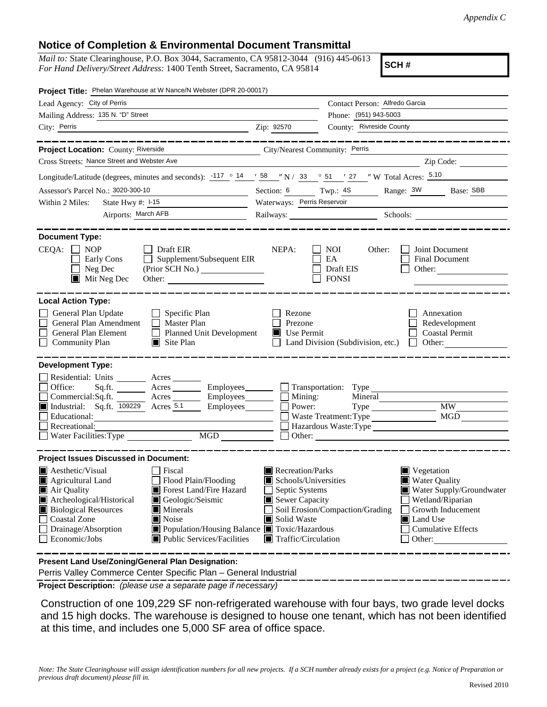## **Notice of Completion & Environmental Document Transmittal**

*Mail to:* State Clearinghouse, P.O. Box 3044, Sacramento, CA 95812-3044 (916) 445-0613 *For Hand Delivery/Street Address:* 1400 Tenth Street, Sacramento, CA 95814

**SCH #**

| Project Title: Phelan Warehouse at W Nance/N Webster (DPR 20-00017)                                                                                                                                                                                                                                                                                                                                |                                                |                                                                                                                                                                                                                                                                                                                                    |                                                                                |
|----------------------------------------------------------------------------------------------------------------------------------------------------------------------------------------------------------------------------------------------------------------------------------------------------------------------------------------------------------------------------------------------------|------------------------------------------------|------------------------------------------------------------------------------------------------------------------------------------------------------------------------------------------------------------------------------------------------------------------------------------------------------------------------------------|--------------------------------------------------------------------------------|
| Lead Agency: City of Perris                                                                                                                                                                                                                                                                                                                                                                        |                                                | Contact Person: Alfredo Garcia                                                                                                                                                                                                                                                                                                     |                                                                                |
| Mailing Address: 135 N. "D" Street                                                                                                                                                                                                                                                                                                                                                                 |                                                | Phone: (951) 943-5003                                                                                                                                                                                                                                                                                                              |                                                                                |
| City: Perris<br><u> 1989 - Johann Barn, mars eta bainar eta baina eta baina eta baina eta baina eta baina eta baina eta baina e</u>                                                                                                                                                                                                                                                                | Zip: 92570                                     | County: Rivreside County                                                                                                                                                                                                                                                                                                           |                                                                                |
| _________                                                                                                                                                                                                                                                                                                                                                                                          |                                                |                                                                                                                                                                                                                                                                                                                                    |                                                                                |
| Project Location: County: Riverside<br>City/Nearest Community: Perris                                                                                                                                                                                                                                                                                                                              |                                                |                                                                                                                                                                                                                                                                                                                                    |                                                                                |
| Cross Streets: Nance Street and Webster Ave                                                                                                                                                                                                                                                                                                                                                        |                                                |                                                                                                                                                                                                                                                                                                                                    | Zip Code:                                                                      |
| Longitude/Latitude (degrees, minutes and seconds): $\frac{-117}{9}$ $\frac{14}{158}$ $\frac{158}{158}$ $\frac{1}{158}$ N / 33 $\frac{1}{258}$ 51 $\frac{1}{27}$ $\frac{1}{27}$ W Total Acres: $\frac{5.10}{15.10}$                                                                                                                                                                                 |                                                |                                                                                                                                                                                                                                                                                                                                    |                                                                                |
| Assessor's Parcel No.: 3020-300-10<br><u> 1989 - Johann Barbara, martxa eta politikar</u>                                                                                                                                                                                                                                                                                                          | Section: $6 \t\t Twp.: 4S$                     |                                                                                                                                                                                                                                                                                                                                    | Range: 3W Base: SBB                                                            |
| Within 2 Miles:                                                                                                                                                                                                                                                                                                                                                                                    | Waterways: Perris Reservoir                    |                                                                                                                                                                                                                                                                                                                                    |                                                                                |
| Airports: March AFB                                                                                                                                                                                                                                                                                                                                                                                |                                                |                                                                                                                                                                                                                                                                                                                                    | Railways: Schools: Schools:                                                    |
| <b>Document Type:</b><br>CEQA:<br><b>NOP</b><br>$\Box$ Draft EIR<br>Supplement/Subsequent EIR<br>Early Cons<br>$\Box$ Neg Dec<br>(Prior SCH No.)<br>$\blacksquare$ Mit Neg Dec<br>Other:                                                                                                                                                                                                           | NEPA:                                          | <b>NOI</b><br>Other:<br>EA<br>Draft EIS<br><b>FONSI</b>                                                                                                                                                                                                                                                                            | Joint Document<br>Final Document<br>Other:                                     |
| <b>Local Action Type:</b><br>General Plan Update<br>$\Box$ Specific Plan<br>General Plan Amendment<br>$\Box$ Master Plan<br>General Plan Element<br>$\Box$<br>Planned Unit Development<br><b>Community Plan</b><br>$\Box$ Site Plan                                                                                                                                                                | Rezone<br>Prezone<br>$\blacksquare$ Use Permit | Land Division (Subdivision, etc.)                                                                                                                                                                                                                                                                                                  | Annexation<br>Redevelopment<br><b>Coastal Permit</b><br>Other:<br>$\mathbf{1}$ |
| <b>Development Type:</b>                                                                                                                                                                                                                                                                                                                                                                           |                                                |                                                                                                                                                                                                                                                                                                                                    |                                                                                |
| Residential: Units ________ Acres _______<br>Office:<br>Acres<br>Sq.ft.<br>Commercial:Sq.ft. ________ Acres __________ Employees_________ $\Box$<br>$\blacksquare$ Industrial: Sq.ft. $\overline{109229}$ Acres $\overline{5.1}$<br>Employees <u>Leadenborn Employees</u><br>Recreational:<br>Water Facilities: Type                                                                               | Mining:<br>Power:                              | Employees Transportation: Type<br>Waste Treatment: Type<br>Department of the contract of the contract of the contract of the contract of the contract of the contract of the contract of the contract of the contract of the contract of the contract of the contract of the contract of                                           | Mineral<br><b>MW</b><br><b>MGD</b><br>Hazardous Waste:Type                     |
| <b>Project Issues Discussed in Document:</b>                                                                                                                                                                                                                                                                                                                                                       |                                                |                                                                                                                                                                                                                                                                                                                                    |                                                                                |
| $\blacksquare$ Aesthetic/Visual<br>Fiscal<br>Agricultural Land<br>Flood Plain/Flooding<br>Forest Land/Fire Hazard<br>Air Quality<br>Archeological/Historical<br>Geologic/Seismic<br><b>Biological Resources</b><br>Minerals<br><b>Coastal Zone</b><br>$\blacksquare$ Noise<br>Drainage/Absorption<br>■ Population/Housing Balance ■ Toxic/Hazardous<br>Public Services/Facilities<br>Economic/Jobs | Solid Waste                                    | Recreation/Parks<br>$\blacksquare$ Vegetation<br><b>Water Quality</b><br>Schools/Universities<br>Septic Systems<br>Water Supply/Groundwater<br>Sewer Capacity<br>Wetland/Riparian<br>Soil Erosion/Compaction/Grading<br>Growth Inducement<br>Land Use<br><b>Cumulative Effects</b><br>$\blacksquare$ Traffic/Circulation<br>Other: |                                                                                |
| Present Land Use/Zoning/General Plan Designation:<br>Perris Valley Commerce Center Specific Plan - General Industrial                                                                                                                                                                                                                                                                              |                                                |                                                                                                                                                                                                                                                                                                                                    |                                                                                |

**Project Description:** *(please use a separate page if necessary)*

 Construction of one 109,229 SF non-refrigerated warehouse with four bays, two grade level docks and 15 high docks. The warehouse is designed to house one tenant, which has not been identified at this time, and includes one 5,000 SF area of office space.